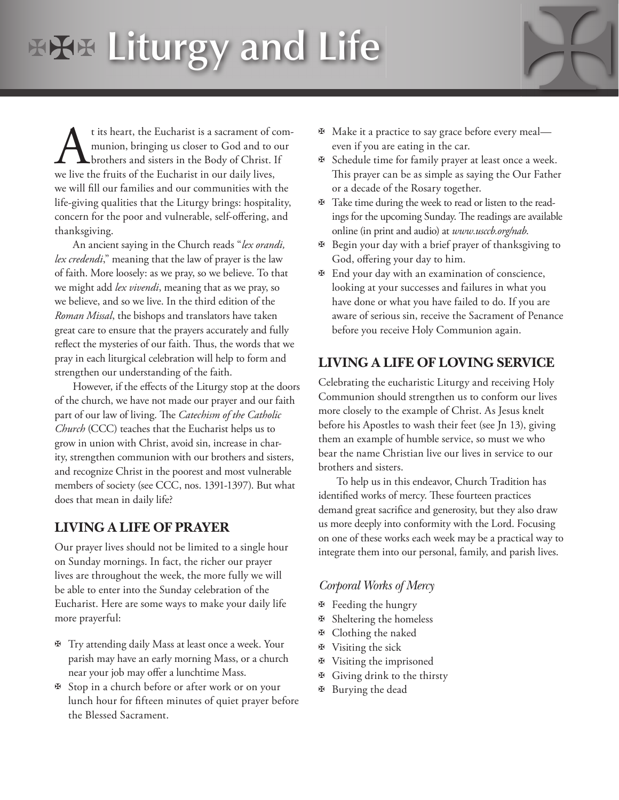# **Liturgy and Life**

t its heart, the Eucharist is a sacrament of communion, bringing us closer to God and to our brothers and sisters in the Body of Christ. If we live the fruits of the Eucharist in our daily lives, we will fill our families and our communities with the life-giving qualities that the Liturgy brings: hospitality, concern for the poor and vulnerable, self-offering, and thanksgiving.

An ancient saying in the Church reads "*lex orandi, lex credendi*," meaning that the law of prayer is the law of faith. More loosely: as we pray, so we believe. To that we might add *lex vivendi*, meaning that as we pray, so we believe, and so we live. In the third edition of the *Roman Missal*, the bishops and translators have taken great care to ensure that the prayers accurately and fully reflect the mysteries of our faith. Thus, the words that we pray in each liturgical celebration will help to form and strengthen our understanding of the faith.

However, if the effects of the Liturgy stop at the doors of the church, we have not made our prayer and our faith part of our law of living. The *Catechism of the Catholic Church* (CCC) teaches that the Eucharist helps us to grow in union with Christ, avoid sin, increase in charity, strengthen communion with our brothers and sisters, and recognize Christ in the poorest and most vulnerable members of society (see CCC, nos. 1391-1397). But what does that mean in daily life?

## **LIVING A LIFE OF PRAYER**

Our prayer lives should not be limited to a single hour on Sunday mornings. In fact, the richer our prayer lives are throughout the week, the more fully we will be able to enter into the Sunday celebration of the Eucharist. Here are some ways to make your daily life more prayerful:

- ✠ Try attending daily Mass at least once a week. Your parish may have an early morning Mass, or a church near your job may offer a lunchtime Mass.
- ✠ Stop in a church before or after work or on your lunch hour for fifteen minutes of quiet prayer before the Blessed Sacrament.
- ✠ Make it a practice to say grace before every meal even if you are eating in the car.
- ✠ Schedule time for family prayer at least once a week. This prayer can be as simple as saying the Our Father or a decade of the Rosary together.
- ✠ Take time during the week to read or listen to the readings for the upcoming Sunday. The readings are available online (in print and audio) at *www.usccb.org/nab*.
- ✠ Begin your day with a brief prayer of thanksgiving to God, offering your day to him.
- ✠ End your day with an examination of conscience, looking at your successes and failures in what you have done or what you have failed to do. If you are aware of serious sin, receive the Sacrament of Penance before you receive Holy Communion again.

## **LIVING A LIFE OF LOVING SERVICE**

Celebrating the eucharistic Liturgy and receiving Holy Communion should strengthen us to conform our lives more closely to the example of Christ. As Jesus knelt before his Apostles to wash their feet (see Jn 13), giving them an example of humble service, so must we who bear the name Christian live our lives in service to our brothers and sisters.

To help us in this endeavor, Church Tradition has identified works of mercy. These fourteen practices demand great sacrifice and generosity, but they also draw us more deeply into conformity with the Lord. Focusing on one of these works each week may be a practical way to integrate them into our personal, family, and parish lives.

#### *Corporal Works of Mercy*

- ✠ Feeding the hungry
- ✠ Sheltering the homeless
- ✠ Clothing the naked
- ✠ Visiting the sick
- ✠ Visiting the imprisoned
- ✠ Giving drink to the thirsty
- ✠ Burying the dead